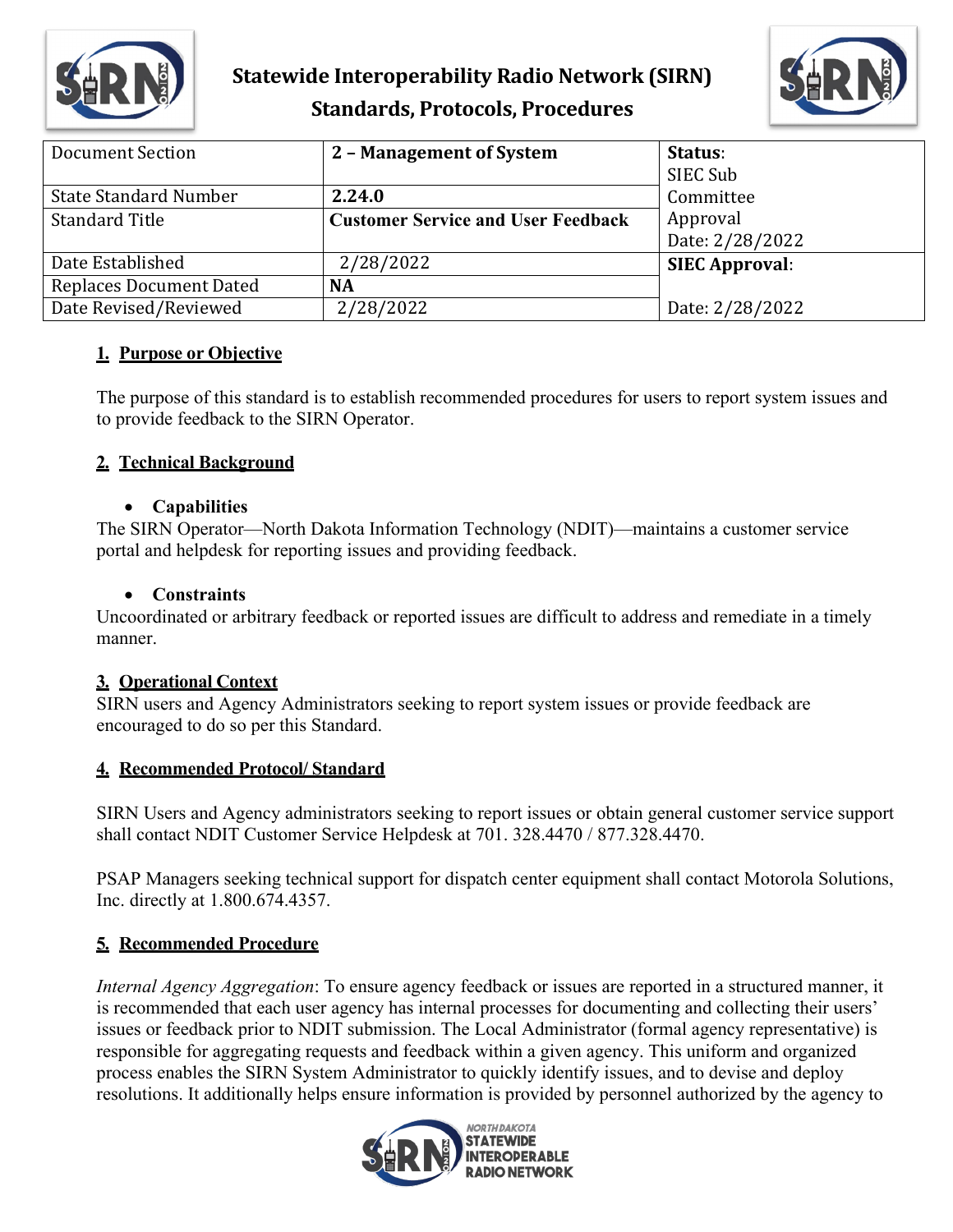

# **Statewide Interoperability Radio Network (SIRN) Standards, Protocols, Procedures**



| Document Section               | 2 - Management of System                  | Status:               |
|--------------------------------|-------------------------------------------|-----------------------|
|                                |                                           | SIEC Sub              |
| <b>State Standard Number</b>   | 2.24.0                                    | Committee             |
| <b>Standard Title</b>          | <b>Customer Service and User Feedback</b> | Approval              |
|                                |                                           | Date: 2/28/2022       |
| Date Established               | 2/28/2022                                 | <b>SIEC Approval:</b> |
| <b>Replaces Document Dated</b> | <b>NA</b>                                 |                       |
| Date Revised/Reviewed          | 2/28/2022                                 | Date: 2/28/2022       |

### **1. Purpose or Objective**

The purpose of this standard is to establish recommended procedures for users to report system issues and to provide feedback to the SIRN Operator.

## **2. Technical Background**

#### • **Capabilities**

The SIRN Operator—North Dakota Information Technology (NDIT)—maintains a customer service portal and helpdesk for reporting issues and providing feedback.

### • **Constraints**

Uncoordinated or arbitrary feedback or reported issues are difficult to address and remediate in a timely manner.

#### **3. Operational Context**

SIRN users and Agency Administrators seeking to report system issues or provide feedback are encouraged to do so per this Standard.

## **4. Recommended Protocol/ Standard**

SIRN Users and Agency administrators seeking to report issues or obtain general customer service support shall contact NDIT Customer Service Helpdesk at 701. 328.4470 / 877.328.4470.

PSAP Managers seeking technical support for dispatch center equipment shall contact Motorola Solutions, Inc. directly at 1.800.674.4357.

## **5. Recommended Procedure**

*Internal Agency Aggregation*: To ensure agency feedback or issues are reported in a structured manner, it is recommended that each user agency has internal processes for documenting and collecting their users' issues or feedback prior to NDIT submission. The Local Administrator (formal agency representative) is responsible for aggregating requests and feedback within a given agency. This uniform and organized process enables the SIRN System Administrator to quickly identify issues, and to devise and deploy resolutions. It additionally helps ensure information is provided by personnel authorized by the agency to